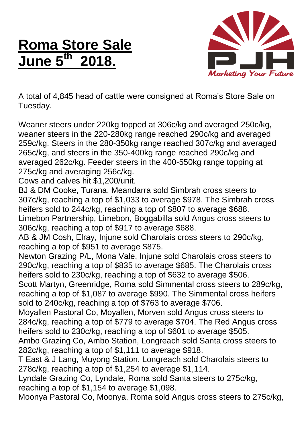## **Roma Store Sale June 5 th 2018.**



A total of 4,845 head of cattle were consigned at Roma's Store Sale on Tuesday.

Weaner steers under 220kg topped at 306c/kg and averaged 250c/kg, weaner steers in the 220-280kg range reached 290c/kg and averaged 259c/kg. Steers in the 280-350kg range reached 307c/kg and averaged 265c/kg, and steers in the 350-400kg range reached 290c/kg and averaged 262c/kg. Feeder steers in the 400-550kg range topping at 275c/kg and averaging 256c/kg.

Cows and calves hit \$1,200/unit.

BJ & DM Cooke, Turana, Meandarra sold Simbrah cross steers to 307c/kg, reaching a top of \$1,033 to average \$978. The Simbrah cross heifers sold to 244c/kg, reaching a top of \$807 to average \$688. Limebon Partnership, Limebon, Boggabilla sold Angus cross steers to 306c/kg, reaching a top of \$917 to average \$688.

AB & JM Cosh, Elray, Injune sold Charolais cross steers to 290c/kg, reaching a top of \$951 to average \$875.

Newton Grazing P/L, Mona Vale, Injune sold Charolais cross steers to 290c/kg, reaching a top of \$835 to average \$685. The Charolais cross heifers sold to 230c/kg, reaching a top of \$632 to average \$506.

Scott Martyn, Greenridge, Roma sold Simmental cross steers to 289c/kg, reaching a top of \$1,087 to average \$990. The Simmental cross heifers sold to 240c/kg, reaching a top of \$763 to average \$706.

Moyallen Pastoral Co, Moyallen, Morven sold Angus cross steers to 284c/kg, reaching a top of \$779 to average \$704. The Red Angus cross heifers sold to 230c/kg, reaching a top of \$601 to average \$505.

Ambo Grazing Co, Ambo Station, Longreach sold Santa cross steers to 282c/kg, reaching a top of \$1,111 to average \$918.

T East & J Lang, Muyong Station, Longreach sold Charolais steers to 278c/kg, reaching a top of \$1,254 to average \$1,114.

Lyndale Grazing Co, Lyndale, Roma sold Santa steers to 275c/kg, reaching a top of \$1,154 to average \$1,098.

Moonya Pastoral Co, Moonya, Roma sold Angus cross steers to 275c/kg,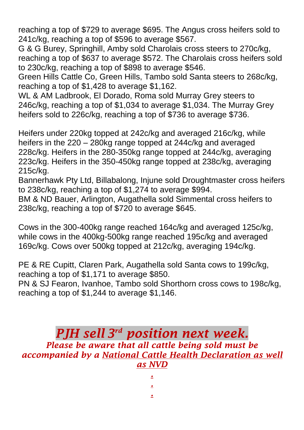reaching a top of \$729 to average \$695. The Angus cross heifers sold to 241c/kg, reaching a top of \$596 to average \$567.

G & G Burey, Springhill, Amby sold Charolais cross steers to 270c/kg, reaching a top of \$637 to average \$572. The Charolais cross heifers sold to 230c/kg, reaching a top of \$898 to average \$546.

Green Hills Cattle Co, Green Hills, Tambo sold Santa steers to 268c/kg, reaching a top of \$1,428 to average \$1,162.

WL & AM Ladbrook, El Dorado, Roma sold Murray Grey steers to 246c/kg, reaching a top of \$1,034 to average \$1,034. The Murray Grey heifers sold to 226c/kg, reaching a top of \$736 to average \$736.

Heifers under 220kg topped at 242c/kg and averaged 216c/kg, while heifers in the 220 – 280kg range topped at 244c/kg and averaged 228c/kg. Heifers in the 280-350kg range topped at 244c/kg, averaging 223c/kg. Heifers in the 350-450kg range topped at 238c/kg, averaging 215c/kg.

Bannerhawk Pty Ltd, Billabalong, Injune sold Droughtmaster cross heifers to 238c/kg, reaching a top of \$1,274 to average \$994.

BM & ND Bauer, Arlington, Augathella sold Simmental cross heifers to 238c/kg, reaching a top of \$720 to average \$645.

Cows in the 300-400kg range reached 164c/kg and averaged 125c/kg, while cows in the 400kg-500kg range reached 195c/kg and averaged 169c/kg. Cows over 500kg topped at 212c/kg, averaging 194c/kg.

PE & RE Cupitt, Claren Park, Augathella sold Santa cows to 199c/kg, reaching a top of \$1,171 to average \$850.

PN & SJ Fearon, Ivanhoe, Tambo sold Shorthorn cross cows to 198c/kg, reaching a top of \$1,244 to average \$1,146.

## *PJH sell 3 rd position next week. Please be aware that all cattle being sold must be accompanied by a National Cattle Health Declaration as well as NVD*

*. . .*